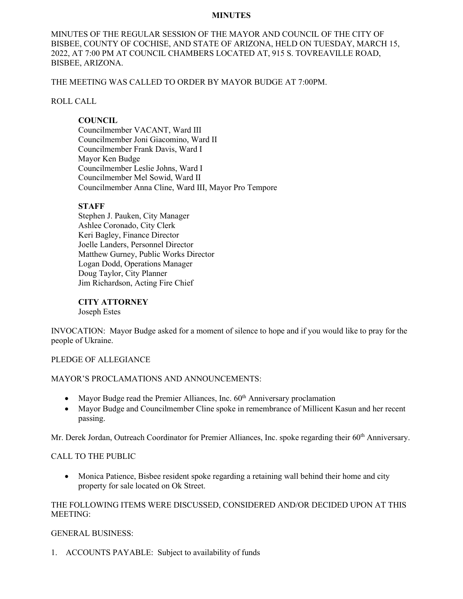#### **MINUTES**

MINUTES OF THE REGULAR SESSION OF THE MAYOR AND COUNCIL OF THE CITY OF BISBEE, COUNTY OF COCHISE, AND STATE OF ARIZONA, HELD ON TUESDAY, MARCH 15, 2022, AT 7:00 PM AT COUNCIL CHAMBERS LOCATED AT, 915 S. TOVREAVILLE ROAD, BISBEE, ARIZONA.

THE MEETING WAS CALLED TO ORDER BY MAYOR BUDGE AT 7:00PM.

## ROLL CALL

# **COUNCIL**

Councilmember VACANT, Ward III Councilmember Joni Giacomino, Ward II Councilmember Frank Davis, Ward I Mayor Ken Budge Councilmember Leslie Johns, Ward I Councilmember Mel Sowid, Ward II Councilmember Anna Cline, Ward III, Mayor Pro Tempore

# **STAFF**

Stephen J. Pauken, City Manager Ashlee Coronado, City Clerk Keri Bagley, Finance Director Joelle Landers, Personnel Director Matthew Gurney, Public Works Director Logan Dodd, Operations Manager Doug Taylor, City Planner Jim Richardson, Acting Fire Chief

**CITY ATTORNEY** Joseph Estes

INVOCATION: Mayor Budge asked for a moment of silence to hope and if you would like to pray for the people of Ukraine.

# PLEDGE OF ALLEGIANCE

# MAYOR'S PROCLAMATIONS AND ANNOUNCEMENTS:

- Mayor Budge read the Premier Alliances, Inc.  $60<sup>th</sup>$  Anniversary proclamation
- Mayor Budge and Councilmember Cline spoke in remembrance of Millicent Kasun and her recent passing.

Mr. Derek Jordan, Outreach Coordinator for Premier Alliances, Inc. spoke regarding their 60<sup>th</sup> Anniversary.

# CALL TO THE PUBLIC

• Monica Patience, Bisbee resident spoke regarding a retaining wall behind their home and city property for sale located on Ok Street.

# THE FOLLOWING ITEMS WERE DISCUSSED, CONSIDERED AND/OR DECIDED UPON AT THIS MEETING:

# GENERAL BUSINESS:

1. ACCOUNTS PAYABLE: Subject to availability of funds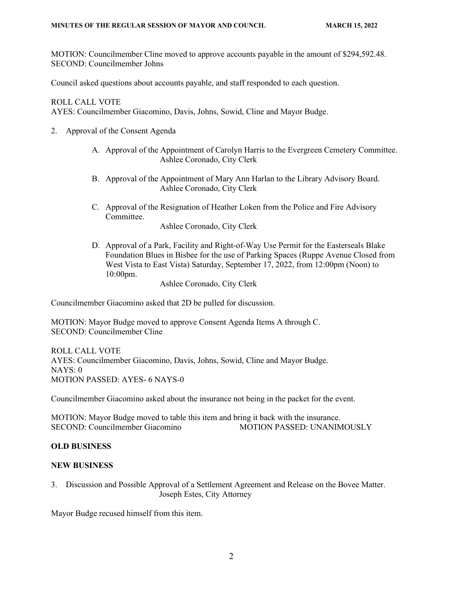MOTION: Councilmember Cline moved to approve accounts payable in the amount of \$294,592.48. SECOND: Councilmember Johns

Council asked questions about accounts payable, and staff responded to each question.

ROLL CALL VOTE

AYES: Councilmember Giacomino, Davis, Johns, Sowid, Cline and Mayor Budge.

- 2. Approval of the Consent Agenda
	- A. Approval of the Appointment of Carolyn Harris to the Evergreen Cemetery Committee. Ashlee Coronado, City Clerk
	- B. Approval of the Appointment of Mary Ann Harlan to the Library Advisory Board. Ashlee Coronado, City Clerk
	- C. Approval of the Resignation of Heather Loken from the Police and Fire Advisory Committee.

Ashlee Coronado, City Clerk

D. Approval of a Park, Facility and Right-of-Way Use Permit for the Easterseals Blake Foundation Blues in Bisbee for the use of Parking Spaces (Ruppe Avenue Closed from West Vista to East Vista) Saturday, September 17, 2022, from 12:00pm (Noon) to 10:00pm.

Ashlee Coronado, City Clerk

Councilmember Giacomino asked that 2D be pulled for discussion.

MOTION: Mayor Budge moved to approve Consent Agenda Items A through C. SECOND: Councilmember Cline

ROLL CALL VOTE AYES: Councilmember Giacomino, Davis, Johns, Sowid, Cline and Mayor Budge. NAYS: 0 MOTION PASSED: AYES- 6 NAYS-0

Councilmember Giacomino asked about the insurance not being in the packet for the event.

MOTION: Mayor Budge moved to table this item and bring it back with the insurance. SECOND: Councilmember Giacomino MOTION PASSED: UNANIMOUSLY

# **OLD BUSINESS**

#### **NEW BUSINESS**

3. Discussion and Possible Approval of a Settlement Agreement and Release on the Bovee Matter. Joseph Estes, City Attorney

Mayor Budge recused himself from this item.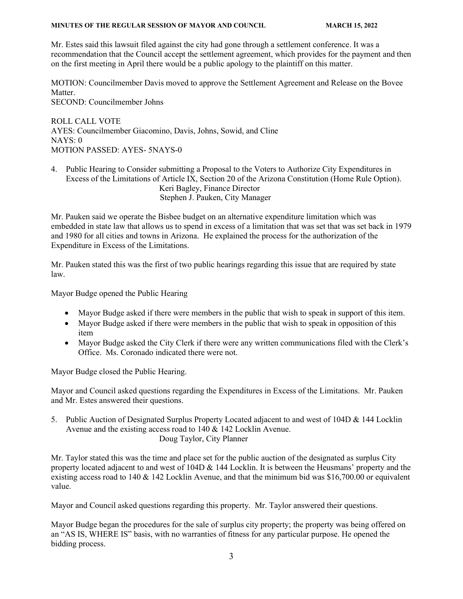#### **MINUTES OF THE REGULAR SESSION OF MAYOR AND COUNCIL MARCH 15, 2022**

Mr. Estes said this lawsuit filed against the city had gone through a settlement conference. It was a recommendation that the Council accept the settlement agreement, which provides for the payment and then on the first meeting in April there would be a public apology to the plaintiff on this matter.

MOTION: Councilmember Davis moved to approve the Settlement Agreement and Release on the Bovee Matter.

SECOND: Councilmember Johns

ROLL CALL VOTE AYES: Councilmember Giacomino, Davis, Johns, Sowid, and Cline  $NAYS: 0$ MOTION PASSED: AYES- 5NAYS-0

4. Public Hearing to Consider submitting a Proposal to the Voters to Authorize City Expenditures in Excess of the Limitations of Article IX, Section 20 of the Arizona Constitution (Home Rule Option). Keri Bagley, Finance Director Stephen J. Pauken, City Manager

Mr. Pauken said we operate the Bisbee budget on an alternative expenditure limitation which was embedded in state law that allows us to spend in excess of a limitation that was set that was set back in 1979 and 1980 for all cities and towns in Arizona. He explained the process for the authorization of the Expenditure in Excess of the Limitations.

Mr. Pauken stated this was the first of two public hearings regarding this issue that are required by state law.

Mayor Budge opened the Public Hearing

- Mayor Budge asked if there were members in the public that wish to speak in support of this item.
- Mayor Budge asked if there were members in the public that wish to speak in opposition of this item
- Mayor Budge asked the City Clerk if there were any written communications filed with the Clerk's Office. Ms. Coronado indicated there were not.

Mayor Budge closed the Public Hearing.

Mayor and Council asked questions regarding the Expenditures in Excess of the Limitations. Mr. Pauken and Mr. Estes answered their questions.

5. Public Auction of Designated Surplus Property Located adjacent to and west of 104D & 144 Locklin Avenue and the existing access road to 140 & 142 Locklin Avenue. Doug Taylor, City Planner

Mr. Taylor stated this was the time and place set for the public auction of the designated as surplus City property located adjacent to and west of  $104D \& 144$  Locklin. It is between the Heusmans' property and the existing access road to 140 & 142 Locklin Avenue, and that the minimum bid was \$16,700.00 or equivalent value.

Mayor and Council asked questions regarding this property. Mr. Taylor answered their questions.

Mayor Budge began the procedures for the sale of surplus city property; the property was being offered on an "AS IS, WHERE IS" basis, with no warranties of fitness for any particular purpose. He opened the bidding process.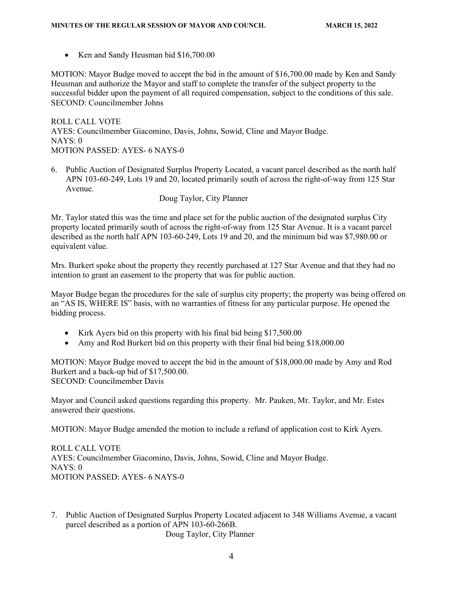• Ken and Sandy Heusman bid \$16,700.00

MOTION: Mayor Budge moved to accept the bid in the amount of \$16,700.00 made by Ken and Sandy Heusman and authorize the Mayor and staff to complete the transfer of the subject property to the successful bidder upon the payment of all required compensation, subject to the conditions of this sale. SECOND: Councilmember Johns

ROLL CALL VOTE AYES: Councilmember Giacomino, Davis, Johns, Sowid, Cline and Mayor Budge. NAYS: 0 MOTION PASSED: AYES- 6 NAYS-0

6. Public Auction of Designated Surplus Property Located, a vacant parcel described as the north half APN 103-60-249, Lots 19 and 20, located primarily south of across the right-of-way from 125 Star Avenue.

Doug Taylor, City Planner

Mr. Taylor stated this was the time and place set for the public auction of the designated surplus City property located primarily south of across the right-of-way from 125 Star Avenue. It is a vacant parcel described as the north half APN 103-60-249, Lots 19 and 20, and the minimum bid was \$7,980.00 or equivalent value.

Mrs. Burkert spoke about the property they recently purchased at 127 Star Avenue and that they had no intention to grant an easement to the property that was for public auction.

Mayor Budge began the procedures for the sale of surplus city property; the property was being offered on an "AS IS, WHERE IS" basis, with no warranties of fitness for any particular purpose. He opened the bidding process.

- Kirk Ayers bid on this property with his final bid being \$17,500.00
- Amy and Rod Burkert bid on this property with their final bid being \$18,000.00

MOTION: Mayor Budge moved to accept the bid in the amount of \$18,000.00 made by Amy and Rod Burkert and a back-up bid of \$17,500.00. SECOND: Councilmember Davis

Mayor and Council asked questions regarding this property. Mr. Pauken, Mr. Taylor, and Mr. Estes answered their questions.

MOTION: Mayor Budge amended the motion to include a refund of application cost to Kirk Ayers.

ROLL CALL VOTE AYES: Councilmember Giacomino, Davis, Johns, Sowid, Cline and Mayor Budge. NAYS: 0 MOTION PASSED: AYES- 6 NAYS-0

7. Public Auction of Designated Surplus Property Located adjacent to 348 Williams Avenue, a vacant parcel described as a portion of APN 103-60-266B.

Doug Taylor, City Planner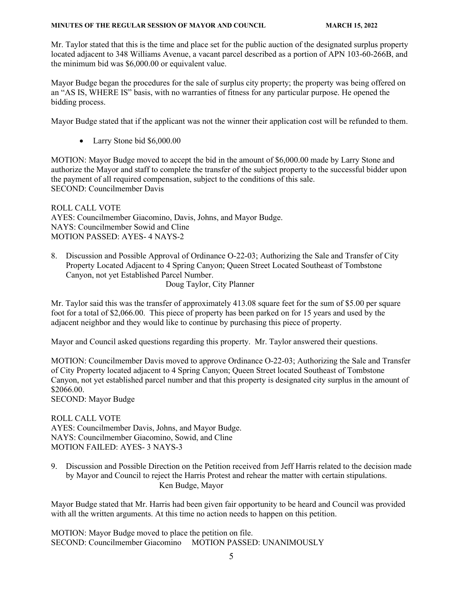#### **MINUTES OF THE REGULAR SESSION OF MAYOR AND COUNCIL MARCH 15, 2022**

Mr. Taylor stated that this is the time and place set for the public auction of the designated surplus property located adjacent to 348 Williams Avenue, a vacant parcel described as a portion of APN 103-60-266B, and the minimum bid was \$6,000.00 or equivalent value.

Mayor Budge began the procedures for the sale of surplus city property; the property was being offered on an "AS IS, WHERE IS" basis, with no warranties of fitness for any particular purpose. He opened the bidding process.

Mayor Budge stated that if the applicant was not the winner their application cost will be refunded to them.

• Larry Stone bid \$6,000.00

MOTION: Mayor Budge moved to accept the bid in the amount of \$6,000.00 made by Larry Stone and authorize the Mayor and staff to complete the transfer of the subject property to the successful bidder upon the payment of all required compensation, subject to the conditions of this sale. SECOND: Councilmember Davis

ROLL CALL VOTE AYES: Councilmember Giacomino, Davis, Johns, and Mayor Budge. NAYS: Councilmember Sowid and Cline MOTION PASSED: AYES- 4 NAYS-2

8. Discussion and Possible Approval of Ordinance O-22-03; Authorizing the Sale and Transfer of City Property Located Adjacent to 4 Spring Canyon; Queen Street Located Southeast of Tombstone Canyon, not yet Established Parcel Number. Doug Taylor, City Planner

Mr. Taylor said this was the transfer of approximately 413.08 square feet for the sum of \$5.00 per square foot for a total of \$2,066.00. This piece of property has been parked on for 15 years and used by the adjacent neighbor and they would like to continue by purchasing this piece of property.

Mayor and Council asked questions regarding this property. Mr. Taylor answered their questions.

MOTION: Councilmember Davis moved to approve Ordinance O-22-03; Authorizing the Sale and Transfer of City Property located adjacent to 4 Spring Canyon; Queen Street located Southeast of Tombstone Canyon, not yet established parcel number and that this property is designated city surplus in the amount of \$2066.00.

SECOND: Mayor Budge

#### ROLL CALL VOTE AYES: Councilmember Davis, Johns, and Mayor Budge. NAYS: Councilmember Giacomino, Sowid, and Cline MOTION FAILED: AYES- 3 NAYS-3

9. Discussion and Possible Direction on the Petition received from Jeff Harris related to the decision made by Mayor and Council to reject the Harris Protest and rehear the matter with certain stipulations. Ken Budge, Mayor

Mayor Budge stated that Mr. Harris had been given fair opportunity to be heard and Council was provided with all the written arguments. At this time no action needs to happen on this petition.

MOTION: Mayor Budge moved to place the petition on file. SECOND: Councilmember Giacomino MOTION PASSED: UNANIMOUSLY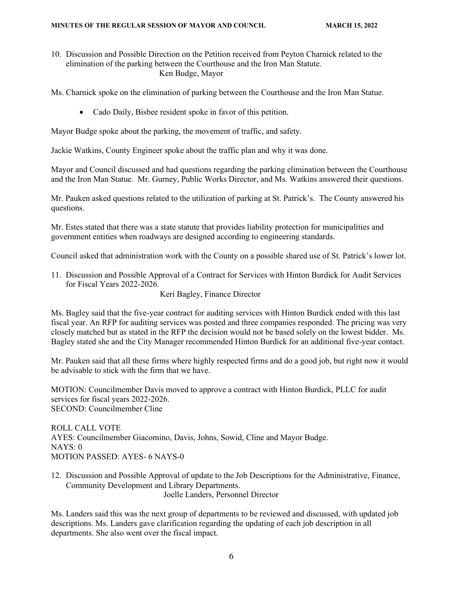10. Discussion and Possible Direction on the Petition received from Peyton Charnick related to the elimination of the parking between the Courthouse and the Iron Man Statute. Ken Budge, Mayor

Ms. Charnick spoke on the elimination of parking between the Courthouse and the Iron Man Statue.

• Cado Daily, Bisbee resident spoke in favor of this petition.

Mayor Budge spoke about the parking, the movement of traffic, and safety.

Jackie Watkins, County Engineer spoke about the traffic plan and why it was done.

Mayor and Council discussed and had questions regarding the parking elimination between the Courthouse and the Iron Man Statue. Mr. Gurney, Public Works Director, and Ms. Watkins answered their questions.

Mr. Pauken asked questions related to the utilization of parking at St. Patrick's. The County answered his questions.

Mr. Estes stated that there was a state statute that provides liability protection for municipalities and government entities when roadways are designed according to engineering standards.

Council asked that administration work with the County on a possible shared use of St. Patrick's lower lot.

11. Discussion and Possible Approval of a Contract for Services with Hinton Burdick for Audit Services for Fiscal Years 2022-2026.

Keri Bagley, Finance Director

Ms. Bagley said that the five-year contract for auditing services with Hinton Burdick ended with this last fiscal year. An RFP for auditing services was posted and three companies responded. The pricing was very closely matched but as stated in the RFP the decision would not be based solely on the lowest bidder. Ms. Bagley stated she and the City Manager recommended Hinton Burdick for an additional five-year contact.

Mr. Pauken said that all these firms where highly respected firms and do a good job, but right now it would be advisable to stick with the firm that we have.

MOTION: Councilmember Davis moved to approve a contract with Hinton Burdick, PLLC for audit services for fiscal years 2022-2026. SECOND: Councilmember Cline

ROLL CALL VOTE AYES: Councilmember Giacomino, Davis, Johns, Sowid, Cline and Mayor Budge. NAYS: 0 MOTION PASSED: AYES- 6 NAYS-0

12. Discussion and Possible Approval of update to the Job Descriptions for the Administrative, Finance, Community Development and Library Departments. Joelle Landers, Personnel Director

Ms. Landers said this was the next group of departments to be reviewed and discussed, with updated job descriptions. Ms. Landers gave clarification regarding the updating of each job description in all departments. She also went over the fiscal impact.